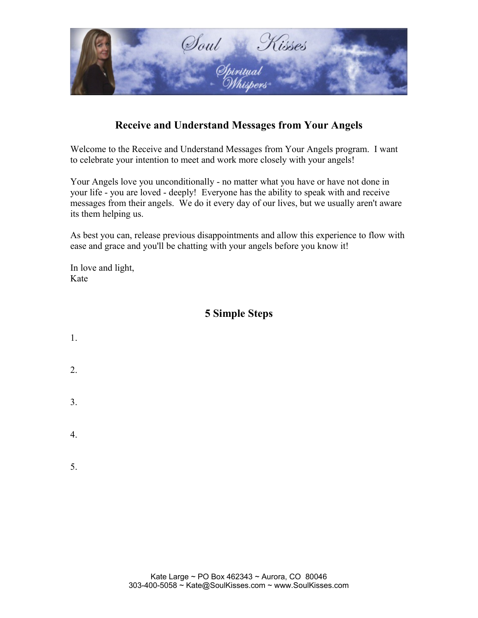

## **Receive and Understand Messages from Your Angels**

Welcome to the Receive and Understand Messages from Your Angels program. I want to celebrate your intention to meet and work more closely with your angels!

Your Angels love you unconditionally - no matter what you have or have not done in your life - you are loved - deeply! Everyone has the ability to speak with and receive messages from their angels. We do it every day of our lives, but we usually aren't aware its them helping us.

As best you can, release previous disappointments and allow this experience to flow with ease and grace and you'll be chatting with your angels before you know it!

In love and light, Kate

### **5 Simple Steps**

1. 2. 3. 4. 5.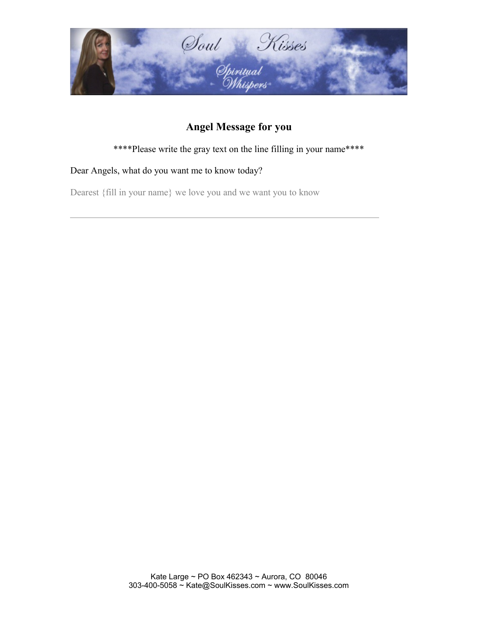

# **Angel Message for you**

\*\*\*\*Please write the gray text on the line filling in your name\*\*\*\*

#### Dear Angels, what do you want me to know today?

 $\overline{a}$ 

Dearest {fill in your name} we love you and we want you to know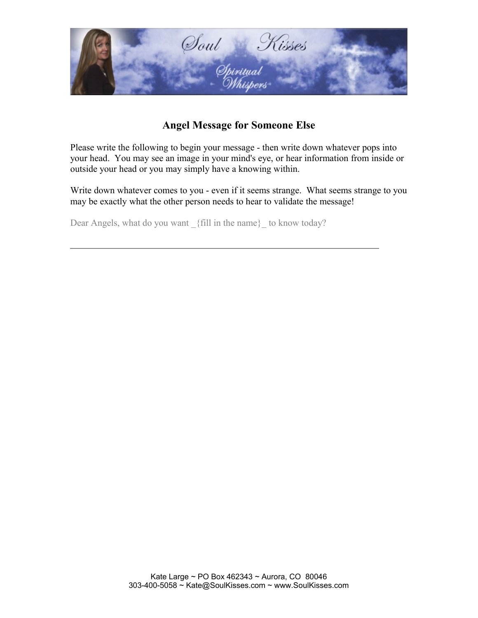

## **Angel Message for Someone Else**

Please write the following to begin your message - then write down whatever pops into your head. You may see an image in your mind's eye, or hear information from inside or outside your head or you may simply have a knowing within.

Write down whatever comes to you - even if it seems strange. What seems strange to you may be exactly what the other person needs to hear to validate the message!

Dear Angels, what do you want {fill in the name} to know today?

 $\overline{a}$